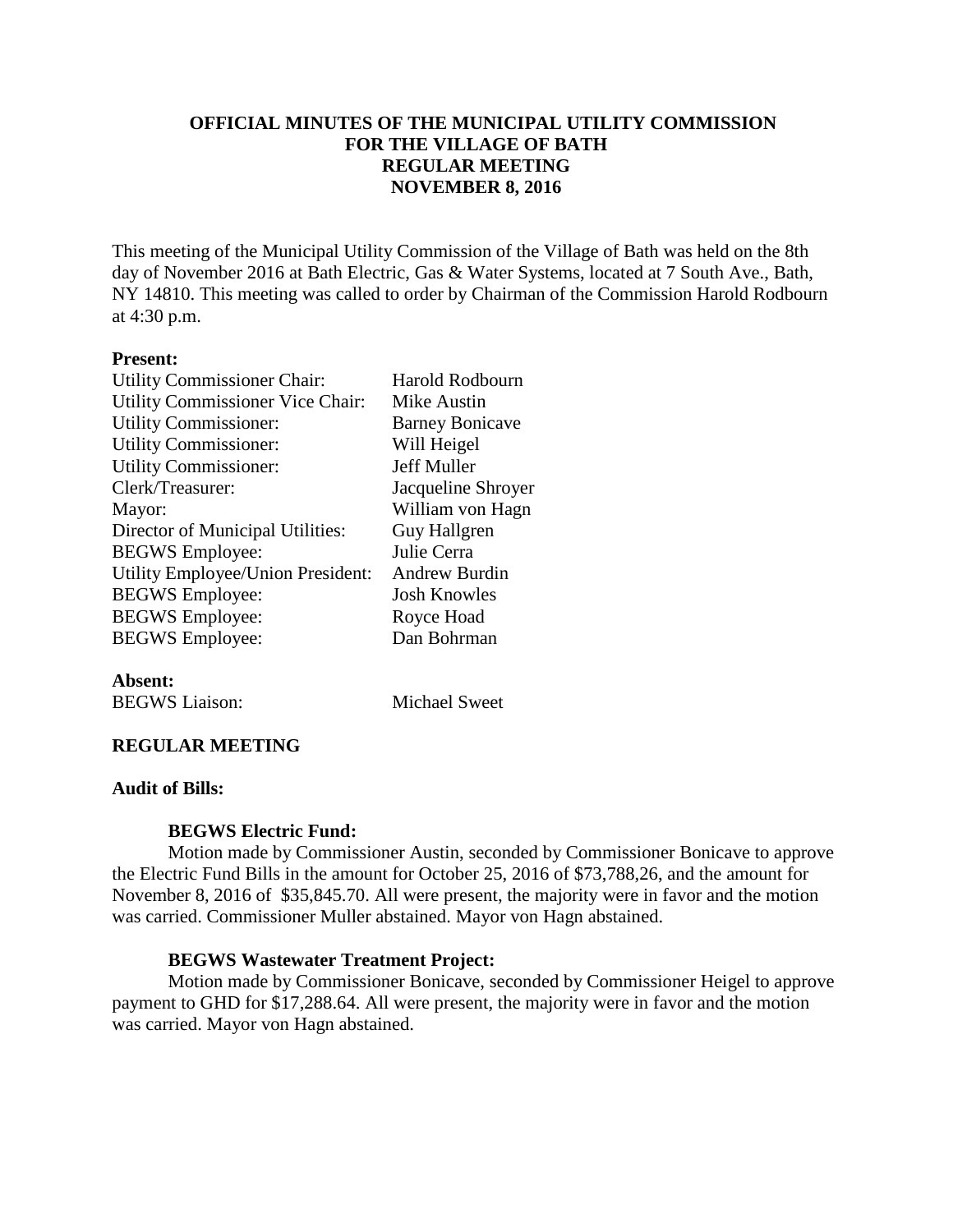### **OFFICIAL MINUTES OF THE MUNICIPAL UTILITY COMMISSION FOR THE VILLAGE OF BATH REGULAR MEETING NOVEMBER 8, 2016**

This meeting of the Municipal Utility Commission of the Village of Bath was held on the 8th day of November 2016 at Bath Electric, Gas & Water Systems, located at 7 South Ave., Bath, NY 14810. This meeting was called to order by Chairman of the Commission Harold Rodbourn at 4:30 p.m.

#### **Present:**

| <b>Utility Commissioner Chair:</b>      | <b>Harold Rodbourn</b> |
|-----------------------------------------|------------------------|
| <b>Utility Commissioner Vice Chair:</b> | Mike Austin            |
| <b>Utility Commissioner:</b>            | <b>Barney Bonicave</b> |
| <b>Utility Commissioner:</b>            | Will Heigel            |
| <b>Utility Commissioner:</b>            | Jeff Muller            |
| Clerk/Treasurer:                        | Jacqueline Shroyer     |
| Mayor:                                  | William von Hagn       |
| Director of Municipal Utilities:        | Guy Hallgren           |
| <b>BEGWS</b> Employee:                  | Julie Cerra            |
| Utility Employee/Union President:       | <b>Andrew Burdin</b>   |
| <b>BEGWS</b> Employee:                  | Josh Knowles           |
| <b>BEGWS</b> Employee:                  | Royce Hoad             |
| <b>BEGWS</b> Employee:                  | Dan Bohrman            |
|                                         |                        |

**Absent:** BEGWS Liaison: Michael Sweet

### **REGULAR MEETING**

#### **Audit of Bills:**

#### **BEGWS Electric Fund:**

Motion made by Commissioner Austin, seconded by Commissioner Bonicave to approve the Electric Fund Bills in the amount for October 25, 2016 of \$73,788,26, and the amount for November 8, 2016 of \$35,845.70. All were present, the majority were in favor and the motion was carried. Commissioner Muller abstained. Mayor von Hagn abstained.

#### **BEGWS Wastewater Treatment Project:**

Motion made by Commissioner Bonicave, seconded by Commissioner Heigel to approve payment to GHD for \$17,288.64. All were present, the majority were in favor and the motion was carried. Mayor von Hagn abstained.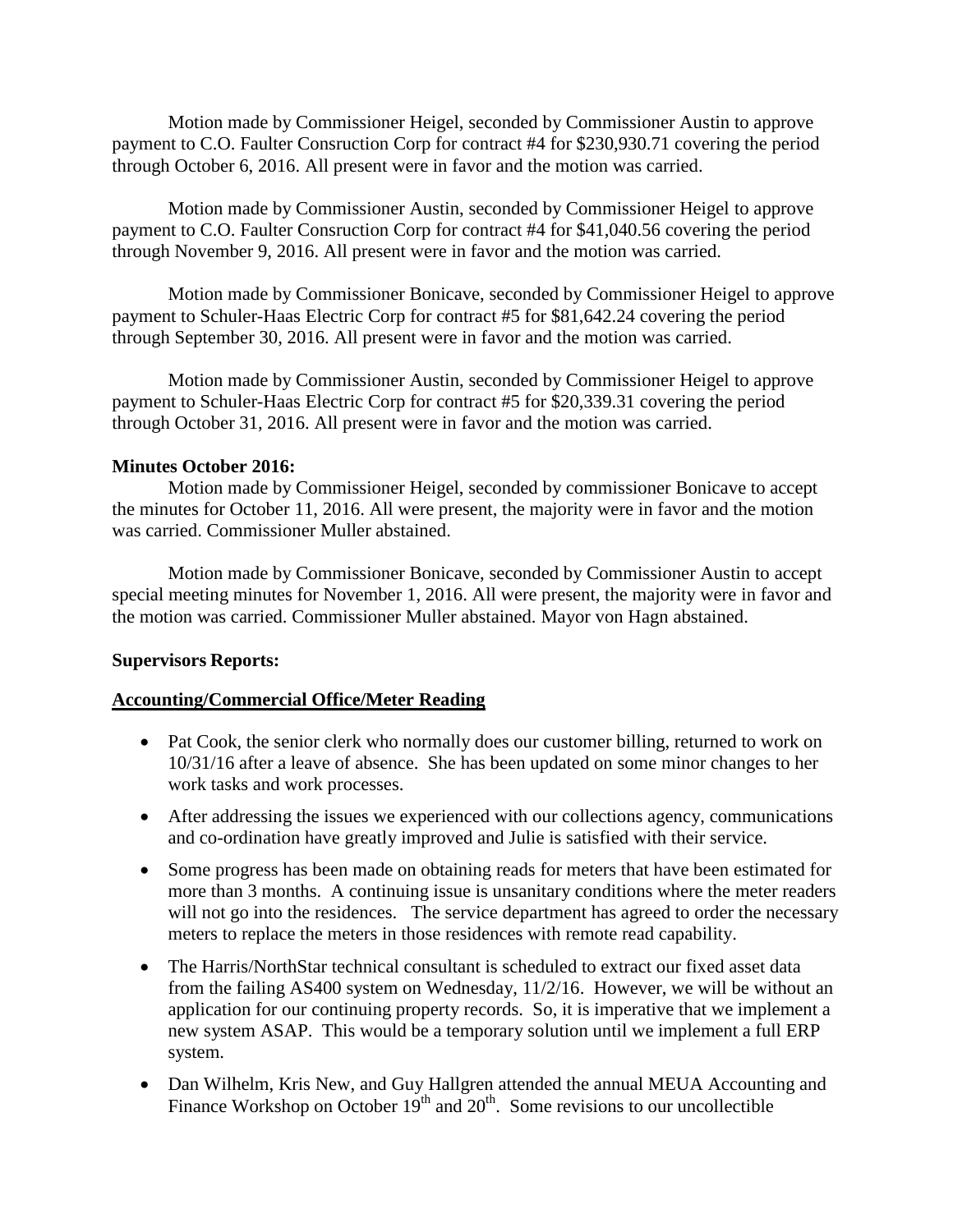Motion made by Commissioner Heigel, seconded by Commissioner Austin to approve payment to C.O. Faulter Consruction Corp for contract #4 for \$230,930.71 covering the period through October 6, 2016. All present were in favor and the motion was carried.

Motion made by Commissioner Austin, seconded by Commissioner Heigel to approve payment to C.O. Faulter Consruction Corp for contract #4 for \$41,040.56 covering the period through November 9, 2016. All present were in favor and the motion was carried.

Motion made by Commissioner Bonicave, seconded by Commissioner Heigel to approve payment to Schuler-Haas Electric Corp for contract #5 for \$81,642.24 covering the period through September 30, 2016. All present were in favor and the motion was carried.

Motion made by Commissioner Austin, seconded by Commissioner Heigel to approve payment to Schuler-Haas Electric Corp for contract #5 for \$20,339.31 covering the period through October 31, 2016. All present were in favor and the motion was carried.

### **Minutes October 2016:**

Motion made by Commissioner Heigel, seconded by commissioner Bonicave to accept the minutes for October 11, 2016. All were present, the majority were in favor and the motion was carried. Commissioner Muller abstained.

Motion made by Commissioner Bonicave, seconded by Commissioner Austin to accept special meeting minutes for November 1, 2016. All were present, the majority were in favor and the motion was carried. Commissioner Muller abstained. Mayor von Hagn abstained.

### **Supervisors Reports:**

### **Accounting/Commercial Office/Meter Reading**

- Pat Cook, the senior clerk who normally does our customer billing, returned to work on 10/31/16 after a leave of absence. She has been updated on some minor changes to her work tasks and work processes.
- After addressing the issues we experienced with our collections agency, communications and co-ordination have greatly improved and Julie is satisfied with their service.
- Some progress has been made on obtaining reads for meters that have been estimated for more than 3 months. A continuing issue is unsanitary conditions where the meter readers will not go into the residences. The service department has agreed to order the necessary meters to replace the meters in those residences with remote read capability.
- The Harris/NorthStar technical consultant is scheduled to extract our fixed asset data from the failing AS400 system on Wednesday, 11/2/16. However, we will be without an application for our continuing property records. So, it is imperative that we implement a new system ASAP. This would be a temporary solution until we implement a full ERP system.
- Dan Wilhelm, Kris New, and Guy Hallgren attended the annual MEUA Accounting and Finance Workshop on October  $19<sup>th</sup>$  and  $20<sup>th</sup>$ . Some revisions to our uncollectible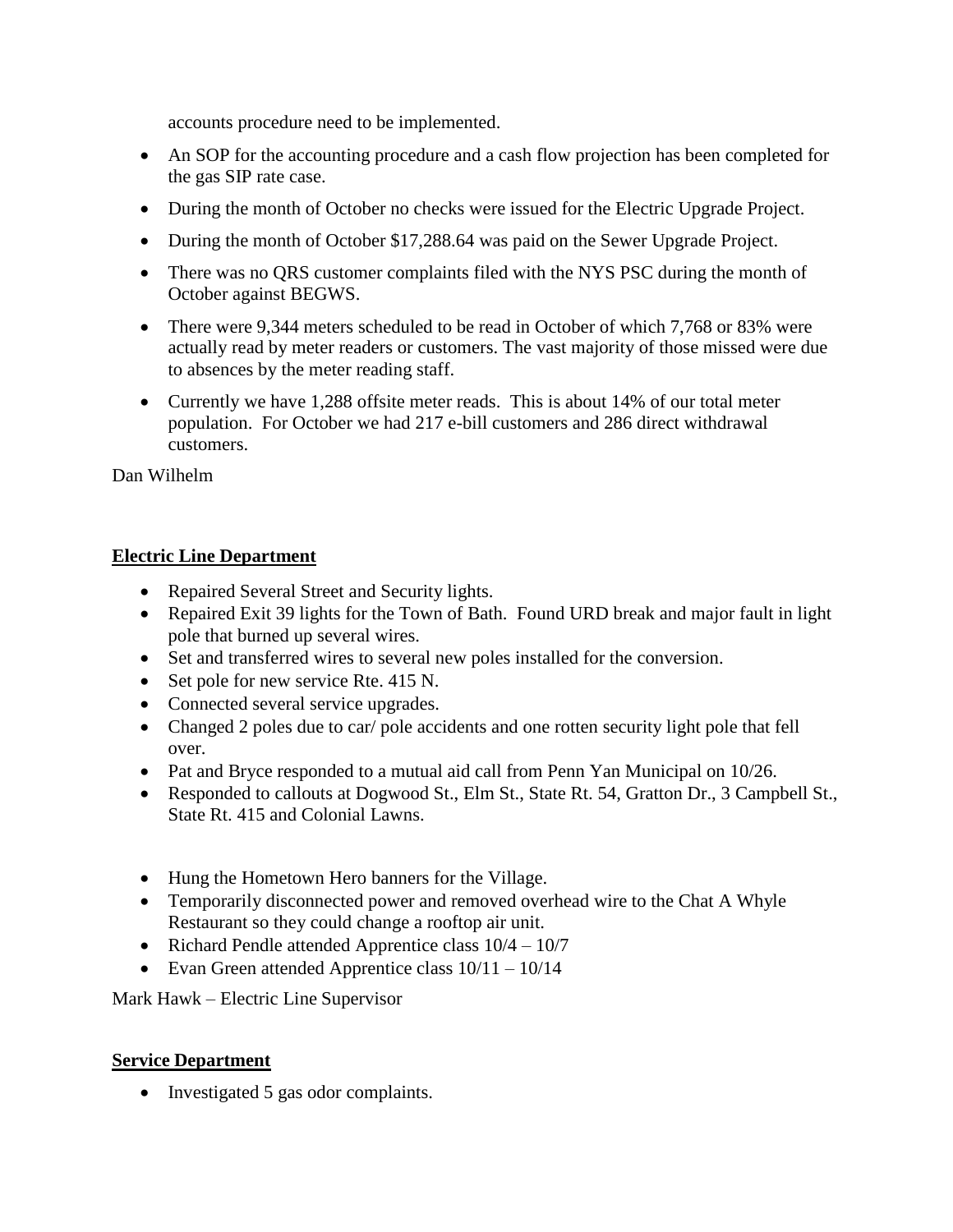accounts procedure need to be implemented.

- An SOP for the accounting procedure and a cash flow projection has been completed for the gas SIP rate case.
- During the month of October no checks were issued for the Electric Upgrade Project.
- During the month of October \$17,288.64 was paid on the Sewer Upgrade Project.
- There was no QRS customer complaints filed with the NYS PSC during the month of October against BEGWS.
- There were 9,344 meters scheduled to be read in October of which 7,768 or 83% were actually read by meter readers or customers. The vast majority of those missed were due to absences by the meter reading staff.
- Currently we have 1,288 offsite meter reads. This is about 14% of our total meter population. For October we had 217 e-bill customers and 286 direct withdrawal customers.

Dan Wilhelm

# **Electric Line Department**

- Repaired Several Street and Security lights.
- Repaired Exit 39 lights for the Town of Bath. Found URD break and major fault in light pole that burned up several wires.
- Set and transferred wires to several new poles installed for the conversion.
- Set pole for new service Rte. 415 N.
- Connected several service upgrades.
- Changed 2 poles due to car/ pole accidents and one rotten security light pole that fell over.
- Pat and Bryce responded to a mutual aid call from Penn Yan Municipal on 10/26.
- Responded to callouts at Dogwood St., Elm St., State Rt. 54, Gratton Dr., 3 Campbell St., State Rt. 415 and Colonial Lawns.
- Hung the Hometown Hero banners for the Village.
- Temporarily disconnected power and removed overhead wire to the Chat A Whyle Restaurant so they could change a rooftop air unit.
- Richard Pendle attended Apprentice class  $10/4 10/7$
- Evan Green attended Apprentice class  $10/11 10/14$

Mark Hawk – Electric Line Supervisor

# **Service Department**

• Investigated 5 gas odor complaints.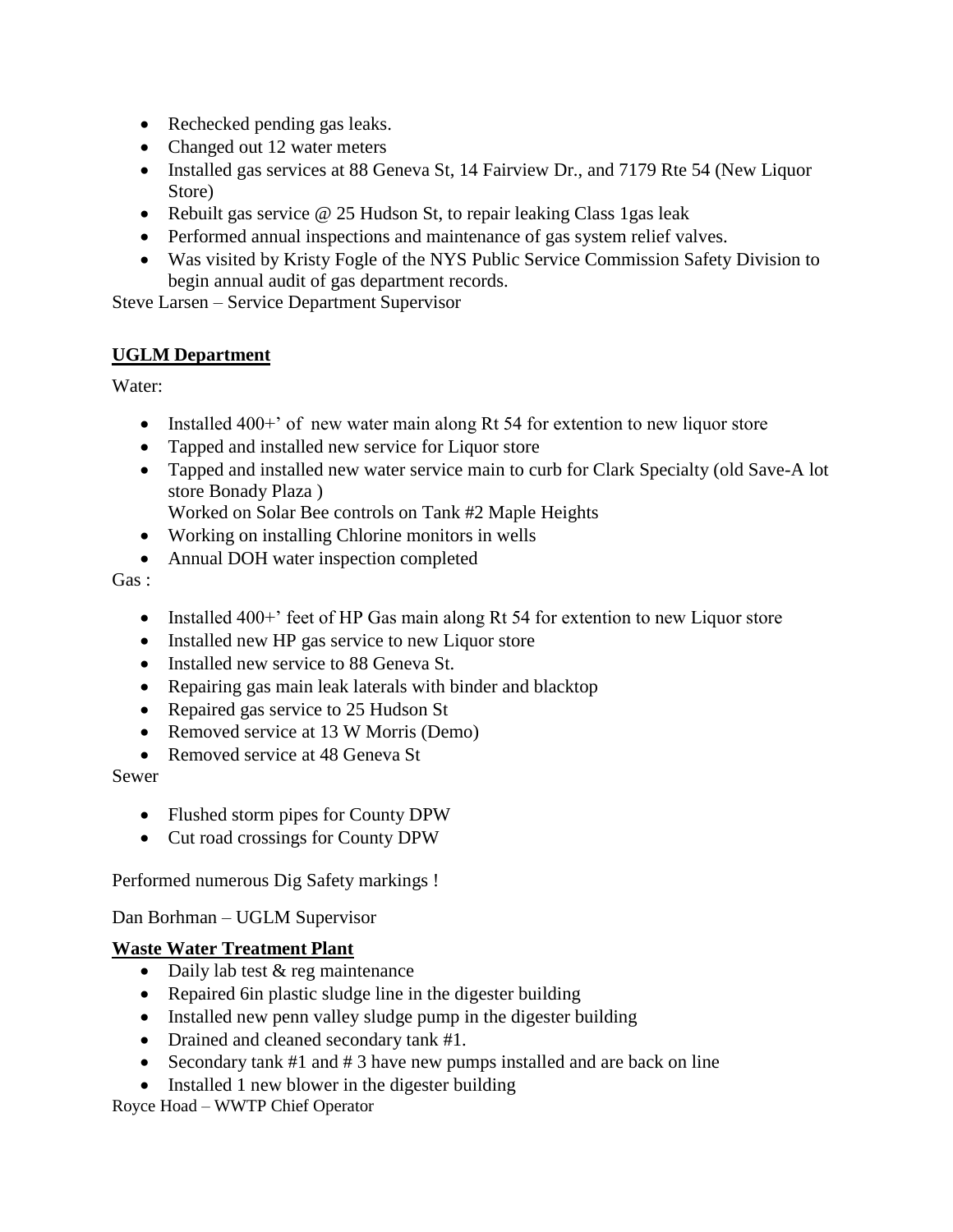- Rechecked pending gas leaks.
- Changed out 12 water meters
- Installed gas services at 88 Geneva St, 14 Fairview Dr., and 7179 Rte 54 (New Liquor Store)
- Rebuilt gas service  $\omega$  25 Hudson St, to repair leaking Class 1 gas leak
- Performed annual inspections and maintenance of gas system relief valves.
- Was visited by Kristy Fogle of the NYS Public Service Commission Safety Division to begin annual audit of gas department records.

Steve Larsen – Service Department Supervisor

# **UGLM Department**

Water:

- Installed 400+' of new water main along Rt 54 for extention to new liquor store
- Tapped and installed new service for Liquor store
- Tapped and installed new water service main to curb for Clark Specialty (old Save-A lot store Bonady Plaza )
	- Worked on Solar Bee controls on Tank #2 Maple Heights
- Working on installing Chlorine monitors in wells
- Annual DOH water inspection completed

Gas :

- Installed 400+' feet of HP Gas main along Rt 54 for extention to new Liquor store
- Installed new HP gas service to new Liquor store
- Installed new service to 88 Geneva St.
- Repairing gas main leak laterals with binder and blacktop
- Repaired gas service to 25 Hudson St
- Removed service at 13 W Morris (Demo)
- Removed service at 48 Geneva St

# Sewer

- Flushed storm pipes for County DPW
- Cut road crossings for County DPW

Performed numerous Dig Safety markings !

Dan Borhman – UGLM Supervisor

# **Waste Water Treatment Plant**

- Daily lab test & reg maintenance
- Repaired 6in plastic sludge line in the digester building
- Installed new penn valley sludge pump in the digester building
- Drained and cleaned secondary tank #1.
- Secondary tank  $#1$  and  $#3$  have new pumps installed and are back on line
- Installed 1 new blower in the digester building

Royce Hoad – WWTP Chief Operator